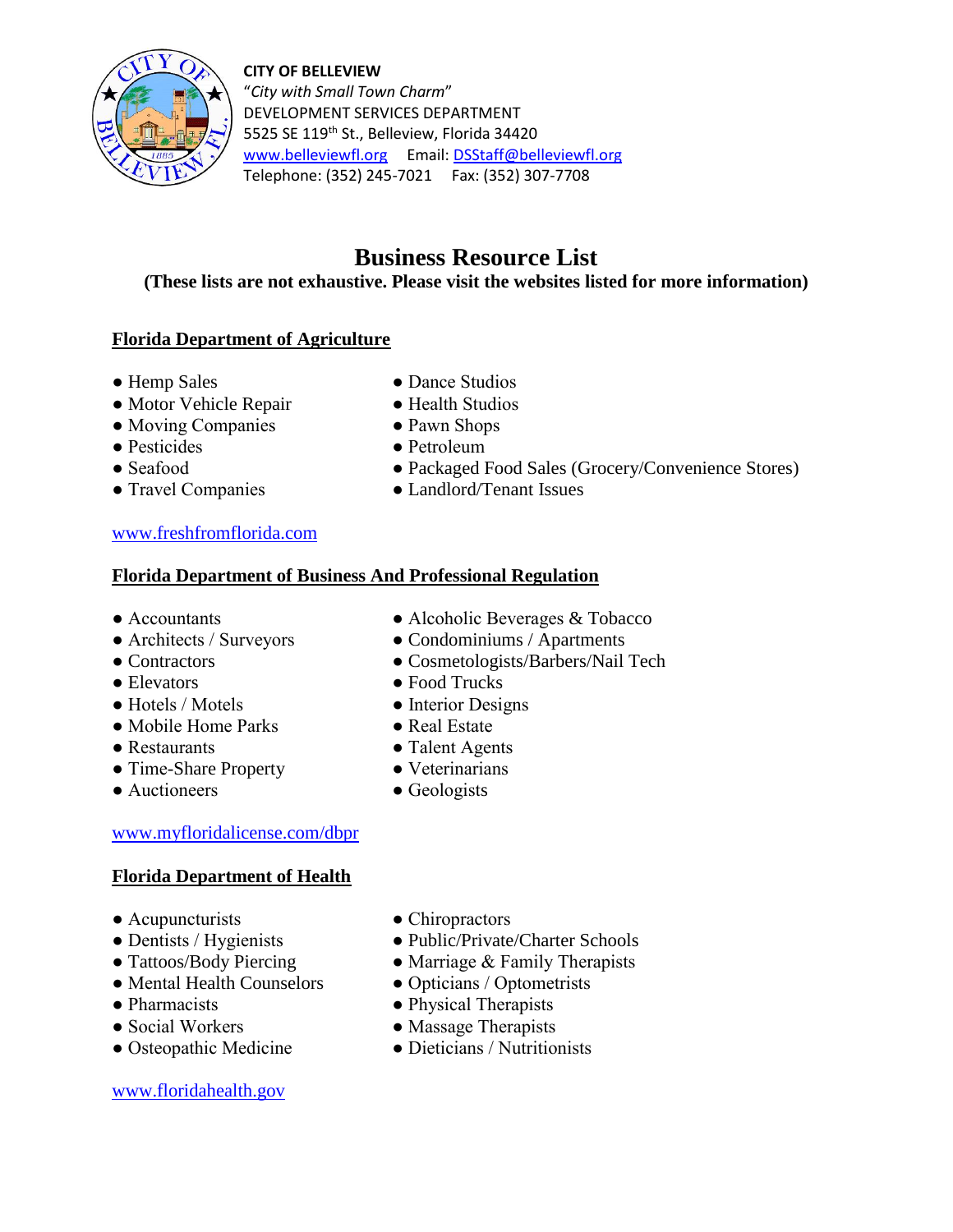



"*City with Small Town Charm*" DEVELOPMENT SERVICES DEPARTMENT 5525 SE 119<sup>th</sup> St., Belleview, Florida 34420 [www.belleviewfl.org](http://www.belleviewfl.org/) Email: [DSStaff@belleviewfl.org](mailto:DSStaff@belleviewfl.org) Telephone: (352) 245-7021 Fax: (352) 307-7708

# **Business Resource List**

## **(These lists are not exhaustive. Please visit the websites listed for more information)**

## **Florida Department of Agriculture**

- 
- Motor Vehicle Repair Health Studios
- Moving Companies Pawn Shops
- 
- 
- 
- Hemp Sales Dance Studios
	-
	-
- Pesticides Petroleum
- Seafood Packaged Food Sales (Grocery/Convenience Stores)
- Travel Companies Landlord/Tenant Issues

## [www.freshfromflorida.com](http://www.freshfromflorida.com/)

## **Florida Department of Business And Professional Regulation**

- Accountants Alcoholic Beverages & Tobacco
- Architects / Surveyors Condominiums / Apartments
- Contractors Cosmetologists/Barbers/Nail Tech
- Elevators Food Trucks
- Hotels / Motels Interior Designs
- Mobile Home Parks Real Estate
- Restaurants Talent Agents
- Time-Share Property Veterinarians
- Auctioneers Geologists

## [www.myfloridalicense.com/dbpr](http://www.myfloridalicense.com/dbpr)

## **Florida Department of Health**

- 
- Acupuncturists Chiropractors
- 
- Mental Health Counselors Opticians / Optometrists
- 
- 
- Osteopathic Medicine

## [www.floridahealth.gov](http://www.floridahealth.gov/)

- 
- Public/Private/Charter Schools
- Tattoos/Body Piercing Marriage & Family Therapists
	-
- Pharmacists Physical Therapists
- Social Workers Massage Therapists<br>• Osteonathic Medicine Dieticians / Nutritionists
	-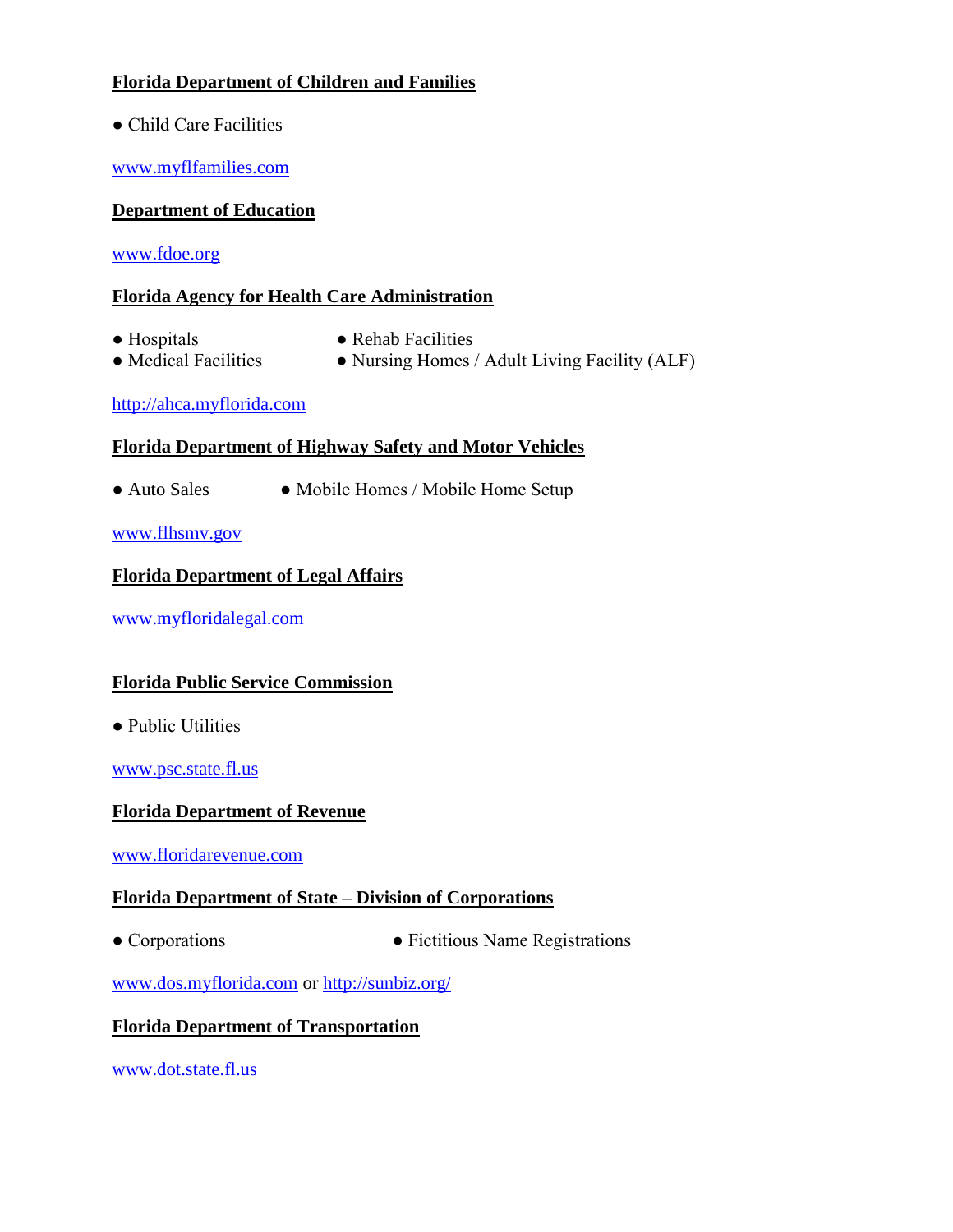## **Florida Department of Children and Families**

● Child Care Facilities

[www.myflfamilies.com](http://www.myflfamilies.com/)

## **Department of Education**

[www.fdoe.org](http://www.fdoe.org/)

## **Florida Agency for Health Care Administration**

- 
- Hospitals Rehab Facilities
- 
- Medical Facilities Nursing Homes / Adult Living Facility (ALF)

#### [http://ahca.myflorida.com](http://ahca.myflorida.com/)

## **Florida Department of Highway Safety and Motor Vehicles**

● Auto Sales ● Mobile Homes / Mobile Home Setup

[www.flhsmv.gov](http://www.flhsmv.gov/)

## **Florida Department of Legal Affairs**

[www.myfloridalegal.com](http://www.myfloridalegal.com/)

## **Florida Public Service Commission**

• Public Utilities

[www.psc.state.fl.us](http://www.psc.state.fl.us/)

## **Florida Department of Revenue**

[www.floridarevenue.com](http://www.floridarevenue.com/)

## **Florida Department of State – Division of Corporations**

• Corporations • Fictitious Name Registrations

[www.dos.m](http://www.dos./)yflorida.com or<http://sunbiz.org/>

## **Florida Department of Transportation**

[www.dot.state.fl.us](http://www.dot.state.fl.us/)